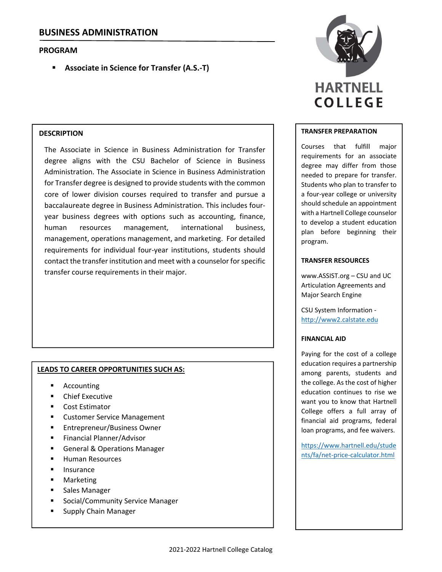# **PROGRAM**

**Associate in Science for Transfer (A.S.‐T)**

## **DESCRIPTION**

The Associate in Science in Business Administration for Transfer degree aligns with the CSU Bachelor of Science in Business Administration. The Associate in Science in Business Administration for Transfer degree is designed to provide students with the common core of lower division courses required to transfer and pursue a baccalaureate degree in Business Administration. This includes four‐ year business degrees with options such as accounting, finance, human resources management, international business, management, operations management, and marketing. For detailed requirements for individual four‐year institutions, students should contact the transfer institution and meet with a counselor for specific transfer course requirements in their major.

## **LEADS TO CAREER OPPORTUNITIES SUCH AS:**

- Accounting
- Chief Executive
- **Cost Estimator**
- **EXECUTE:** Customer Service Management
- Entrepreneur/Business Owner
- Financial Planner/Advisor
- General & Operations Manager
- Human Resources
- Insurance
- Marketing
- Sales Manager
- **Social/Community Service Manager**
- Supply Chain Manager



### **TRANSFER PREPARATION**

Courses that fulfill major requirements for an associate degree may differ from those needed to prepare for transfer. Students who plan to transfer to a four‐year college or university should schedule an appointment with a Hartnell College counselor to develop a student education plan before beginning their program.

### **TRANSFER RESOURCES**

www.ASSIST.org – CSU and UC Articulation Agreements and Major Search Engine

CSU System Information ‐ http://www2.calstate.edu

### **FINANCIAL AID**

Paying for the cost of a college education requires a partnership among parents, students and the college. As the cost of higher education continues to rise we want you to know that Hartnell College offers a full array of financial aid programs, federal loan programs, and fee waivers.

https://www.hartnell.edu/stude nts/fa/net‐price‐calculator.html